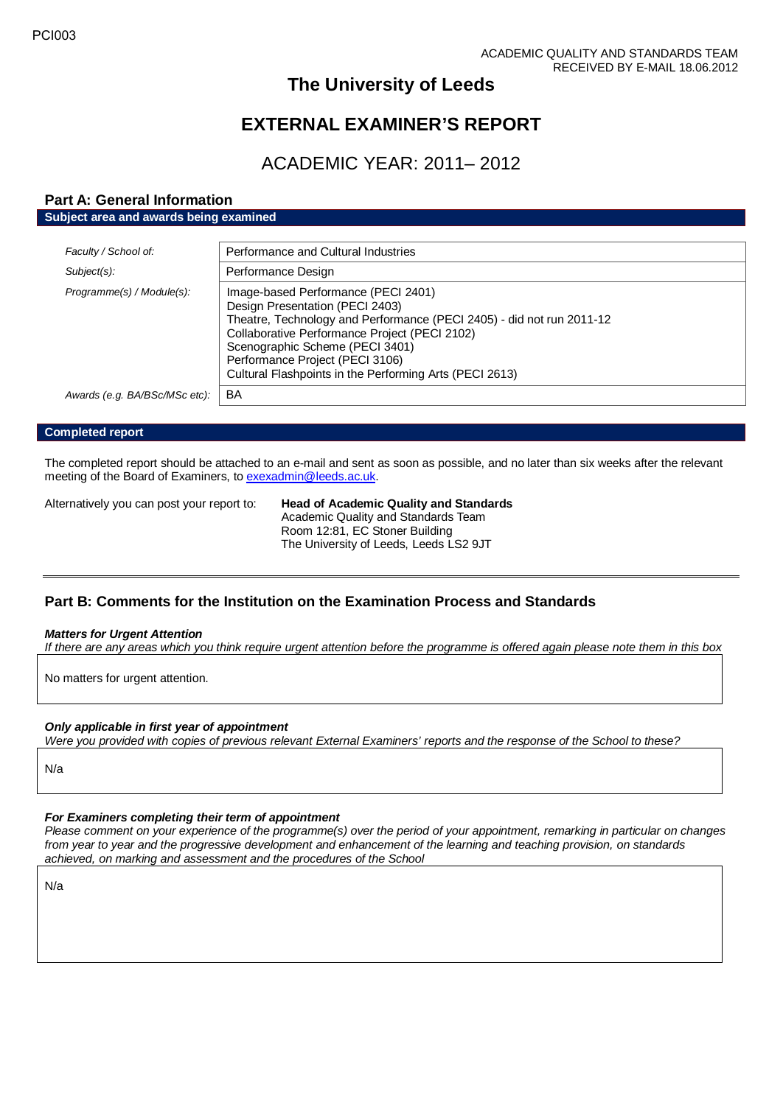# **The University of Leeds**

# **EXTERNAL EXAMINER'S REPORT**

# ACADEMIC YEAR: 2011– 2012

## **Part A: General Information**

**Subject area and awards being examined**

| Faculty / School of:          | Performance and Cultural Industries                                                                                                                                                                                                                                                                                               |
|-------------------------------|-----------------------------------------------------------------------------------------------------------------------------------------------------------------------------------------------------------------------------------------------------------------------------------------------------------------------------------|
| Subject(s):                   | Performance Design                                                                                                                                                                                                                                                                                                                |
| Programme(s) / Module(s):     | Image-based Performance (PECI 2401)<br>Design Presentation (PECI 2403)<br>Theatre, Technology and Performance (PECI 2405) - did not run 2011-12<br>Collaborative Performance Project (PECI 2102)<br>Scenographic Scheme (PECI 3401)<br>Performance Project (PECI 3106)<br>Cultural Flashpoints in the Performing Arts (PECI 2613) |
| Awards (e.g. BA/BSc/MSc etc): | BA                                                                                                                                                                                                                                                                                                                                |

#### **Completed report**

The completed report should be attached to an e-mail and sent as soon as possible, and no later than six weeks after the relevant meeting of the Board of Examiners, t[o exexadmin@leeds.ac.uk.](mailto:exexadmin@leeds.ac.uk)

Alternatively you can post your report to: **Head of Academic Quality and Standards**

Academic Quality and Standards Team Room 12:81, EC Stoner Building The University of Leeds, Leeds LS2 9JT

### **Part B: Comments for the Institution on the Examination Process and Standards**

#### *Matters for Urgent Attention*

*If there are any areas which you think require urgent attention before the programme is offered again please note them in this box*

No matters for urgent attention.

### *Only applicable in first year of appointment*

*Were you provided with copies of previous relevant External Examiners' reports and the response of the School to these?* 

N/a

### *For Examiners completing their term of appointment*

*Please comment on your experience of the programme(s) over the period of your appointment, remarking in particular on changes from year to year and the progressive development and enhancement of the learning and teaching provision, on standards achieved, on marking and assessment and the procedures of the School*

N/a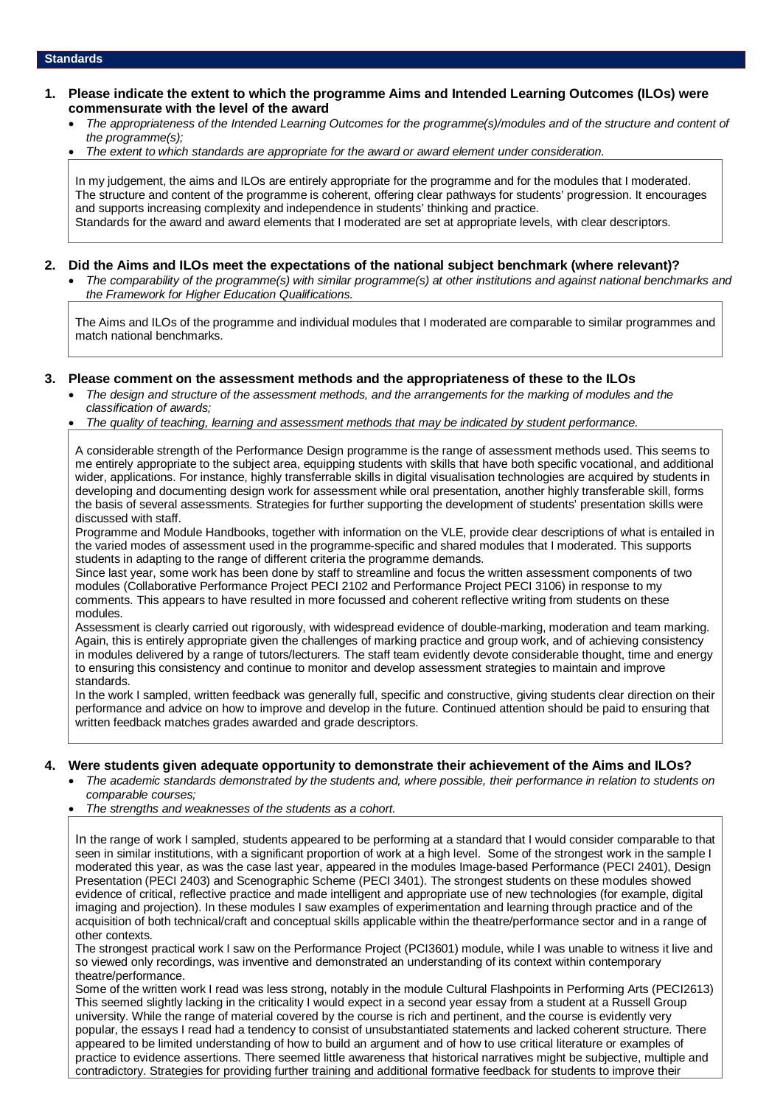- **1. Please indicate the extent to which the programme Aims and Intended Learning Outcomes (ILOs) were commensurate with the level of the award**
	- *The appropriateness of the Intended Learning Outcomes for the programme(s)/modules and of the structure and content of the programme(s);*
	- *The extent to which standards are appropriate for the award or award element under consideration.*

In my judgement, the aims and ILOs are entirely appropriate for the programme and for the modules that I moderated. The structure and content of the programme is coherent, offering clear pathways for students' progression. It encourages and supports increasing complexity and independence in students' thinking and practice. Standards for the award and award elements that I moderated are set at appropriate levels, with clear descriptors.

#### **2. Did the Aims and ILOs meet the expectations of the national subject benchmark (where relevant)?**

• *The comparability of the programme(s) with similar programme(s) at other institutions and against national benchmarks and the Framework for Higher Education Qualifications.*

The Aims and ILOs of the programme and individual modules that I moderated are comparable to similar programmes and match national benchmarks.

#### **3. Please comment on the assessment methods and the appropriateness of these to the ILOs**

- *The design and structure of the assessment methods, and the arrangements for the marking of modules and the classification of awards;*
- *The quality of teaching, learning and assessment methods that may be indicated by student performance.*

A considerable strength of the Performance Design programme is the range of assessment methods used. This seems to me entirely appropriate to the subject area, equipping students with skills that have both specific vocational, and additional wider, applications. For instance, highly transferrable skills in digital visualisation technologies are acquired by students in developing and documenting design work for assessment while oral presentation, another highly transferable skill, forms the basis of several assessments. Strategies for further supporting the development of students' presentation skills were discussed with staff.

Programme and Module Handbooks, together with information on the VLE, provide clear descriptions of what is entailed in the varied modes of assessment used in the programme-specific and shared modules that I moderated. This supports students in adapting to the range of different criteria the programme demands.

Since last year, some work has been done by staff to streamline and focus the written assessment components of two modules (Collaborative Performance Project PECI 2102 and Performance Project PECI 3106) in response to my comments. This appears to have resulted in more focussed and coherent reflective writing from students on these modules.

Assessment is clearly carried out rigorously, with widespread evidence of double-marking, moderation and team marking. Again, this is entirely appropriate given the challenges of marking practice and group work, and of achieving consistency in modules delivered by a range of tutors/lecturers. The staff team evidently devote considerable thought, time and energy to ensuring this consistency and continue to monitor and develop assessment strategies to maintain and improve standards.

In the work I sampled, written feedback was generally full, specific and constructive, giving students clear direction on their performance and advice on how to improve and develop in the future. Continued attention should be paid to ensuring that written feedback matches grades awarded and grade descriptors.

#### **4. Were students given adequate opportunity to demonstrate their achievement of the Aims and ILOs?**

- *The academic standards demonstrated by the students and, where possible, their performance in relation to students on comparable courses;*
- *The strengths and weaknesses of the students as a cohort.*

In the range of work I sampled, students appeared to be performing at a standard that I would consider comparable to that seen in similar institutions, with a significant proportion of work at a high level. Some of the strongest work in the sample I moderated this year, as was the case last year, appeared in the modules Image-based Performance (PECI 2401), Design Presentation (PECI 2403) and Scenographic Scheme (PECI 3401). The strongest students on these modules showed evidence of critical, reflective practice and made intelligent and appropriate use of new technologies (for example, digital imaging and projection). In these modules I saw examples of experimentation and learning through practice and of the acquisition of both technical/craft and conceptual skills applicable within the theatre/performance sector and in a range of other contexts.

The strongest practical work I saw on the Performance Project (PCI3601) module, while I was unable to witness it live and so viewed only recordings, was inventive and demonstrated an understanding of its context within contemporary theatre/performance.

Some of the written work I read was less strong, notably in the module Cultural Flashpoints in Performing Arts (PECI2613) This seemed slightly lacking in the criticality I would expect in a second year essay from a student at a Russell Group university. While the range of material covered by the course is rich and pertinent, and the course is evidently very popular, the essays I read had a tendency to consist of unsubstantiated statements and lacked coherent structure. There appeared to be limited understanding of how to build an argument and of how to use critical literature or examples of practice to evidence assertions. There seemed little awareness that historical narratives might be subjective, multiple and contradictory. Strategies for providing further training and additional formative feedback for students to improve their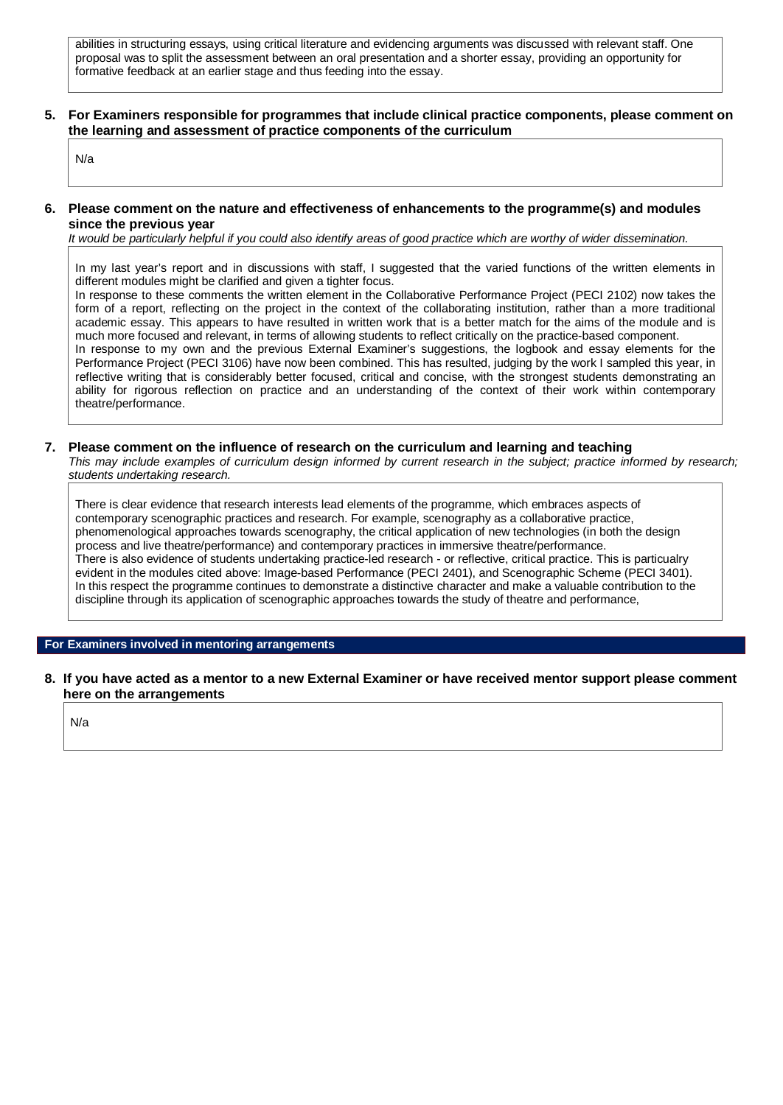abilities in structuring essays, using critical literature and evidencing arguments was discussed with relevant staff. One proposal was to split the assessment between an oral presentation and a shorter essay, providing an opportunity for formative feedback at an earlier stage and thus feeding into the essay.

#### **5. For Examiners responsible for programmes that include clinical practice components, please comment on the learning and assessment of practice components of the curriculum**

N/a

#### **6. Please comment on the nature and effectiveness of enhancements to the programme(s) and modules since the previous year**

*It would be particularly helpful if you could also identify areas of good practice which are worthy of wider dissemination.* 

In my last year's report and in discussions with staff, I suggested that the varied functions of the written elements in different modules might be clarified and given a tighter focus.

In response to these comments the written element in the Collaborative Performance Project (PECI 2102) now takes the form of a report, reflecting on the project in the context of the collaborating institution, rather than a more traditional academic essay. This appears to have resulted in written work that is a better match for the aims of the module and is much more focused and relevant, in terms of allowing students to reflect critically on the practice-based component. In response to my own and the previous External Examiner's suggestions, the logbook and essay elements for the Performance Project (PECI 3106) have now been combined. This has resulted, judging by the work I sampled this year, in reflective writing that is considerably better focused, critical and concise, with the strongest students demonstrating an ability for rigorous reflection on practice and an understanding of the context of their work within contemporary theatre/performance.

### **7. Please comment on the influence of research on the curriculum and learning and teaching**

*This may include examples of curriculum design informed by current research in the subject; practice informed by research; students undertaking research.* 

There is clear evidence that research interests lead elements of the programme, which embraces aspects of contemporary scenographic practices and research. For example, scenography as a collaborative practice, phenomenological approaches towards scenography, the critical application of new technologies (in both the design process and live theatre/performance) and contemporary practices in immersive theatre/performance. There is also evidence of students undertaking practice-led research - or reflective, critical practice. This is particualry evident in the modules cited above: Image-based Performance (PECI 2401), and Scenographic Scheme (PECI 3401). In this respect the programme continues to demonstrate a distinctive character and make a valuable contribution to the discipline through its application of scenographic approaches towards the study of theatre and performance,

#### **For Examiners involved in mentoring arrangements**

**8. If you have acted as a mentor to a new External Examiner or have received mentor support please comment here on the arrangements**

N/a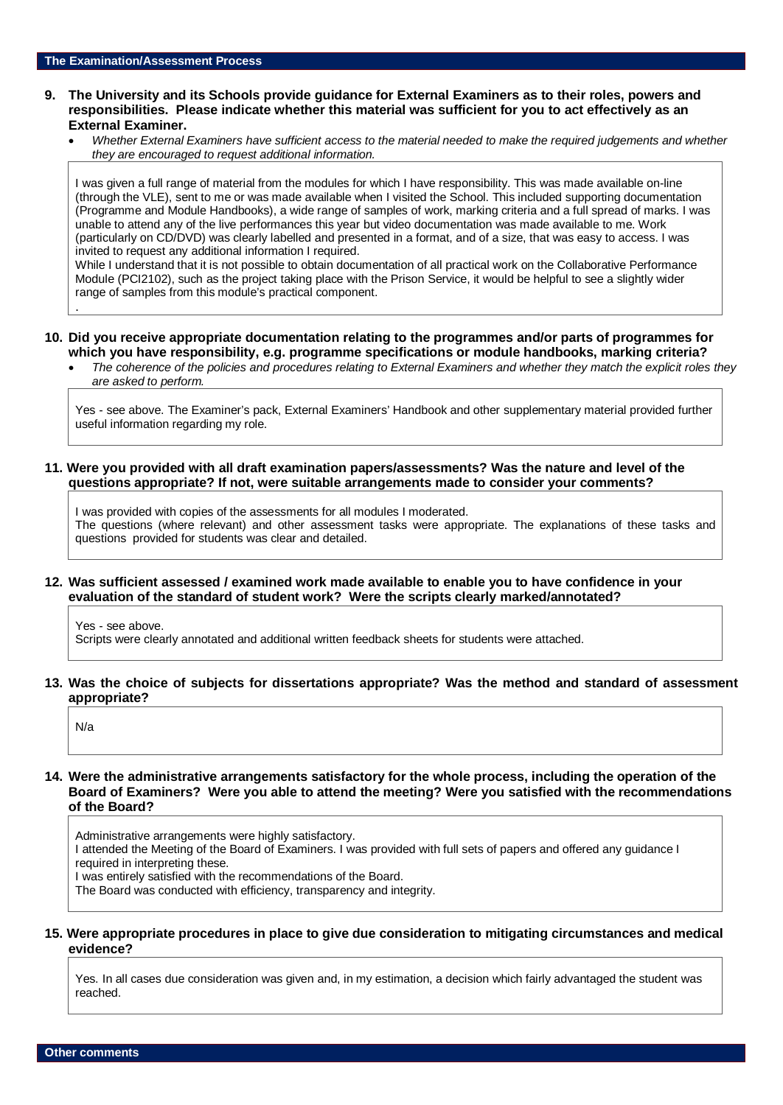#### **9. The University and its Schools provide guidance for External Examiners as to their roles, powers and responsibilities. Please indicate whether this material was sufficient for you to act effectively as an External Examiner.**

• *Whether External Examiners have sufficient access to the material needed to make the required judgements and whether they are encouraged to request additional information.*

I was given a full range of material from the modules for which I have responsibility. This was made available on-line (through the VLE), sent to me or was made available when I visited the School. This included supporting documentation (Programme and Module Handbooks), a wide range of samples of work, marking criteria and a full spread of marks. I was unable to attend any of the live performances this year but video documentation was made available to me. Work (particularly on CD/DVD) was clearly labelled and presented in a format, and of a size, that was easy to access. I was invited to request any additional information I required.

While I understand that it is not possible to obtain documentation of all practical work on the Collaborative Performance Module (PCI2102), such as the project taking place with the Prison Service, it would be helpful to see a slightly wider range of samples from this module's practical component.

- **10. Did you receive appropriate documentation relating to the programmes and/or parts of programmes for which you have responsibility, e.g. programme specifications or module handbooks, marking criteria?**
	- *The coherence of the policies and procedures relating to External Examiners and whether they match the explicit roles they are asked to perform.*

Yes - see above. The Examiner's pack, External Examiners' Handbook and other supplementary material provided further useful information regarding my role.

**11. Were you provided with all draft examination papers/assessments? Was the nature and level of the questions appropriate? If not, were suitable arrangements made to consider your comments?**

I was provided with copies of the assessments for all modules I moderated. The questions (where relevant) and other assessment tasks were appropriate. The explanations of these tasks and questions provided for students was clear and detailed.

#### **12. Was sufficient assessed / examined work made available to enable you to have confidence in your evaluation of the standard of student work? Were the scripts clearly marked/annotated?**

Yes - see above. Scripts were clearly annotated and additional written feedback sheets for students were attached.

### **13. Was the choice of subjects for dissertations appropriate? Was the method and standard of assessment appropriate?**

N/a

.

### **14. Were the administrative arrangements satisfactory for the whole process, including the operation of the Board of Examiners? Were you able to attend the meeting? Were you satisfied with the recommendations of the Board?**

Administrative arrangements were highly satisfactory. I attended the Meeting of the Board of Examiners. I was provided with full sets of papers and offered any guidance I required in interpreting these. I was entirely satisfied with the recommendations of the Board.

The Board was conducted with efficiency, transparency and integrity.

### **15. Were appropriate procedures in place to give due consideration to mitigating circumstances and medical evidence?**

Yes. In all cases due consideration was given and, in my estimation, a decision which fairly advantaged the student was reached.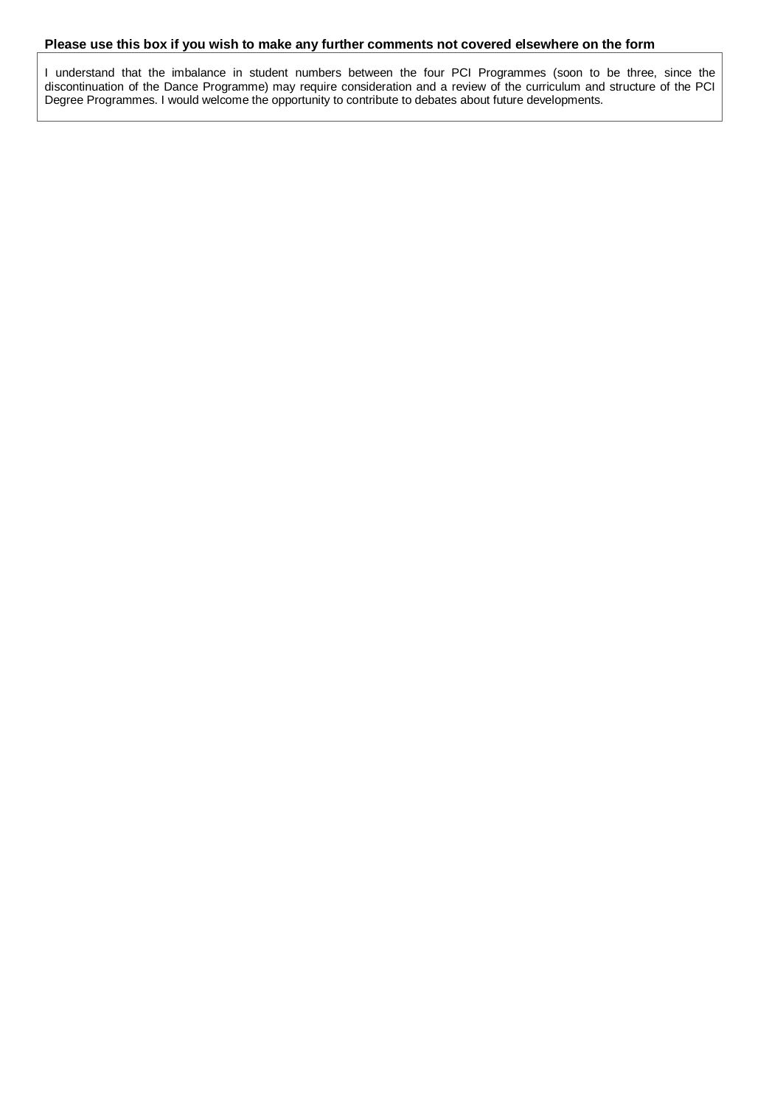### **Please use this box if you wish to make any further comments not covered elsewhere on the form**

I understand that the imbalance in student numbers between the four PCI Programmes (soon to be three, since the discontinuation of the Dance Programme) may require consideration and a review of the curriculum and structure of the PCI Degree Programmes. I would welcome the opportunity to contribute to debates about future developments.